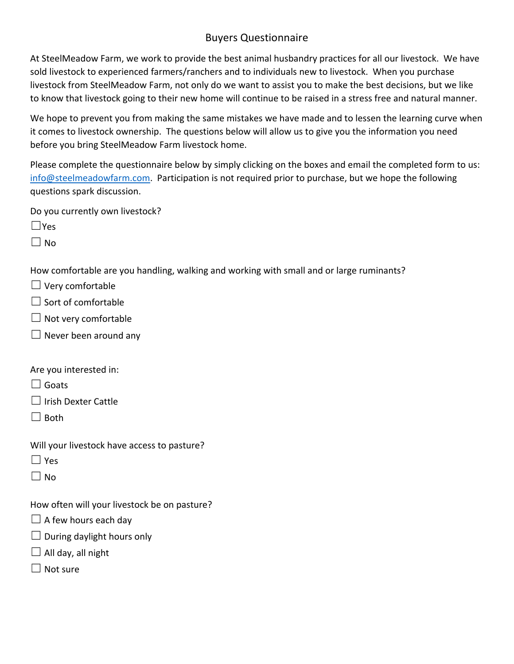## Buyers Questionnaire

At SteelMeadow Farm, we work to provide the best animal husbandry practices for all our livestock. We have sold livestock to experienced farmers/ranchers and to individuals new to livestock. When you purchase livestock from SteelMeadow Farm, not only do we want to assist you to make the best decisions, but we like to know that livestock going to their new home will continue to be raised in a stress free and natural manner.

We hope to prevent you from making the same mistakes we have made and to lessen the learning curve when it comes to livestock ownership. The questions below will allow us to give you the information you need before you bring SteelMeadow Farm livestock home.

Please complete the questionnaire below by simply clicking on the boxes and email the completed form to us: info@steelmeadowfarm.com. Participation is not required prior to purchase, but we hope the following questions spark discussion.

Do you currently own livestock?

☐Yes

 $\Box$  No

How comfortable are you handling, walking and working with small and or large ruminants?

- $\Box$  Very comfortable
- ☐ Sort of comfortable
- $\Box$  Not very comfortable
- $\Box$  Never been around any

Are you interested in:

□ Goats

☐ Irish Dexter Cattle

 $\Box$  Both

- Will your livestock have access to pasture?
- $\Box$  Yes
- $\Box$  No

How often will your livestock be on pasture?

- $\Box$  A few hours each day
- $\Box$  During daylight hours only
- $\Box$  All day, all night
- $\Box$  Not sure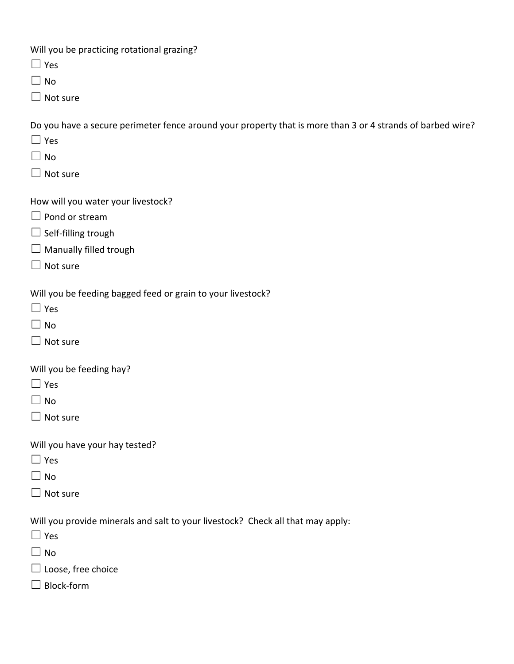Will you be practicing rotational grazing?

☐ Yes

 $\Box$  No

☐ Not sure

Do you have a secure perimeter fence around your property that is more than 3 or 4 strands of barbed wire?

- ☐ Yes
- $\square$  No
- ☐ Not sure

How will you water your livestock?

- $\Box$  Pond or stream
- $\Box$  Self-filling trough
- $\Box$  Manually filled trough
- $\Box$  Not sure

Will you be feeding bagged feed or grain to your livestock?

- ☐ Yes
- $\Box$  No
- □ Not sure

Will you be feeding hay?

- $\Box$  Yes
- $\Box$  No
- ☐ Not sure

Will you have your hay tested?

- ☐ Yes
- $\Box$  No
- □ Not sure

Will you provide minerals and salt to your livestock? Check all that may apply:

- ☐ Yes
- $\Box$  No
- ☐ Loose, free choice
- ☐ Block‐form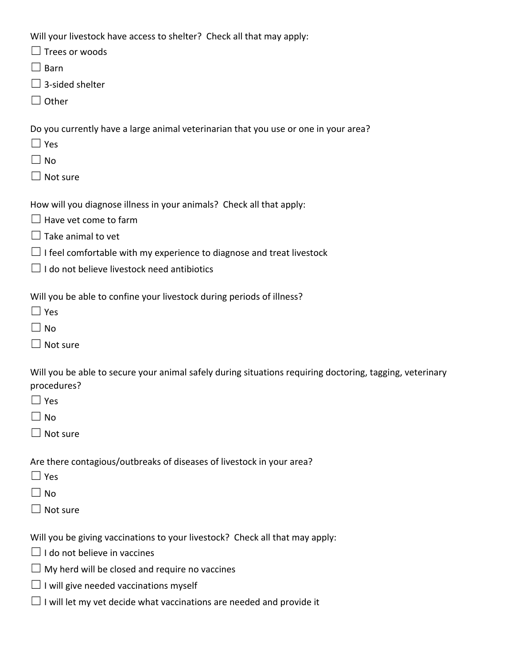Will your livestock have access to shelter? Check all that may apply:

- $\Box$  Trees or woods
- $\Box$  Barn
- $\Box$  3-sided shelter
- ☐ Other

Do you currently have a large animal veterinarian that you use or one in your area?

- ☐ Yes
- $\Box$  No
- $\Box$  Not sure

How will you diagnose illness in your animals? Check all that apply:

- $\Box$  Have vet come to farm
- $\Box$  Take animal to vet
- $\Box$  I feel comfortable with my experience to diagnose and treat livestock
- $\Box$  I do not believe livestock need antibiotics

Will you be able to confine your livestock during periods of illness?

- $\Box$  Yes
- $\Box$  No
- $\Box$  Not sure

Will you be able to secure your animal safely during situations requiring doctoring, tagging, veterinary procedures?

- $\Box$  Yes
- $\Box$  No
- □ Not sure

Are there contagious/outbreaks of diseases of livestock in your area?

- $\Box$  Yes
- $\Box$  No
- $\Box$  Not sure

Will you be giving vaccinations to your livestock? Check all that may apply:

- ☐ I do not believe in vaccines
- $\Box$  My herd will be closed and require no vaccines
- $\Box$  I will give needed vaccinations myself
- $\Box$  I will let my vet decide what vaccinations are needed and provide it